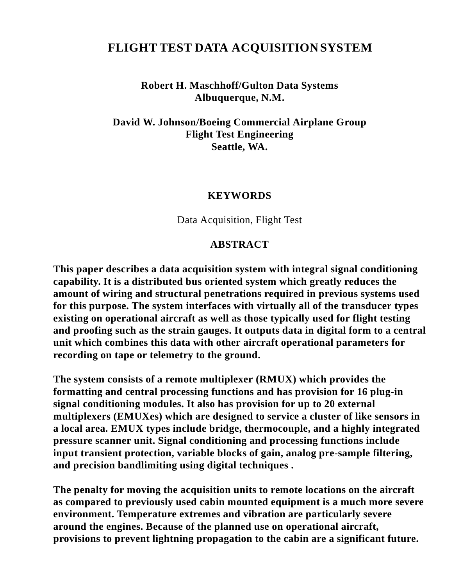## **FLIGHT TEST DATA ACQUISITIONSYSTEM**

**Robert H. Maschhoff/Gulton Data Systems Albuquerque, N.M.**

**David W. Johnson/Boeing Commercial Airplane Group Flight Test Engineering Seattle, WA.**

#### **KEYWORDS**

Data Acquisition, Flight Test

#### **ABSTRACT**

**This paper describes a data acquisition system with integral signal conditioning capability. It is a distributed bus oriented system which greatly reduces the amount of wiring and structural penetrations required in previous systems used for this purpose. The system interfaces with virtually all of the transducer types existing on operational aircraft as well as those typically used for flight testing and proofing such as the strain gauges. It outputs data in digital form to a central unit which combines this data with other aircraft operational parameters for recording on tape or telemetry to the ground.**

**The system consists of a remote multiplexer (RMUX) which provides the formatting and central processing functions and has provision for 16 plug-in signal conditioning modules. It also has provision for up to 20 external multiplexers (EMUXes) which are designed to service a cluster of like sensors in a local area. EMUX types include bridge, thermocouple, and a highly integrated pressure scanner unit. Signal conditioning and processing functions include input transient protection, variable blocks of gain, analog pre-sample filtering, and precision bandlimiting using digital techniques .**

**The penalty for moving the acquisition units to remote locations on the aircraft as compared to previously used cabin mounted equipment is a much more severe environment. Temperature extremes and vibration are particularly severe around the engines. Because of the planned use on operational aircraft, provisions to prevent lightning propagation to the cabin are a significant future.**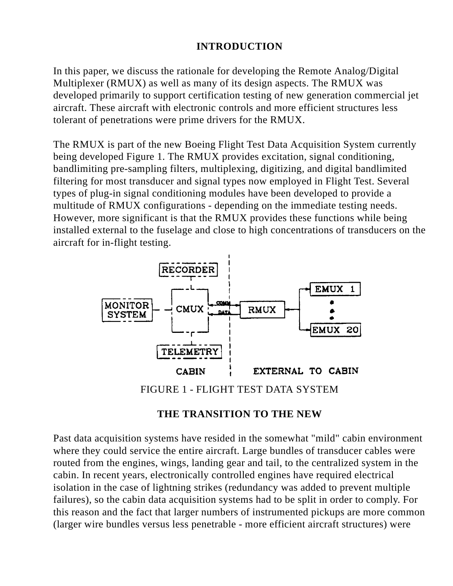## **INTRODUCTION**

In this paper, we discuss the rationale for developing the Remote Analog/Digital Multiplexer (RMUX) as well as many of its design aspects. The RMUX was developed primarily to support certification testing of new generation commercial jet aircraft. These aircraft with electronic controls and more efficient structures less tolerant of penetrations were prime drivers for the RMUX.

The RMUX is part of the new Boeing Flight Test Data Acquisition System currently being developed Figure 1. The RMUX provides excitation, signal conditioning, bandlimiting pre-sampling filters, multiplexing, digitizing, and digital bandlimited filtering for most transducer and signal types now employed in Flight Test. Several types of plug-in signal conditioning modules have been developed to provide a multitude of RMUX configurations - depending on the immediate testing needs. However, more significant is that the RMUX provides these functions while being installed external to the fuselage and close to high concentrations of transducers on the aircraft for in-flight testing.



FIGURE 1 - FLIGHT TEST DATA SYSTEM

#### **THE TRANSITION TO THE NEW**

Past data acquisition systems have resided in the somewhat "mild" cabin environment where they could service the entire aircraft. Large bundles of transducer cables were routed from the engines, wings, landing gear and tail, to the centralized system in the cabin. In recent years, electronically controlled engines have required electrical isolation in the case of lightning strikes (redundancy was added to prevent multiple failures), so the cabin data acquisition systems had to be split in order to comply. For this reason and the fact that larger numbers of instrumented pickups are more common (larger wire bundles versus less penetrable - more efficient aircraft structures) were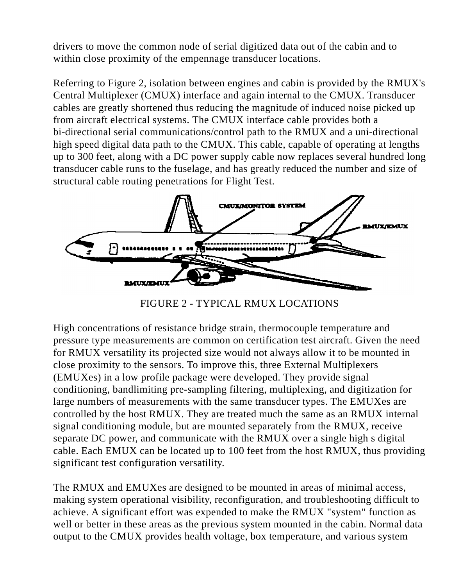drivers to move the common node of serial digitized data out of the cabin and to within close proximity of the empennage transducer locations.

Referring to Figure 2, isolation between engines and cabin is provided by the RMUX's Central Multiplexer (CMUX) interface and again internal to the CMUX. Transducer cables are greatly shortened thus reducing the magnitude of induced noise picked up from aircraft electrical systems. The CMUX interface cable provides both a bi-directional serial communications/control path to the RMUX and a uni-directional high speed digital data path to the CMUX. This cable, capable of operating at lengths up to 300 feet, along with a DC power supply cable now replaces several hundred long transducer cable runs to the fuselage, and has greatly reduced the number and size of structural cable routing penetrations for Flight Test.



FIGURE 2 - TYPICAL RMUX LOCATIONS

High concentrations of resistance bridge strain, thermocouple temperature and pressure type measurements are common on certification test aircraft. Given the need for RMUX versatility its projected size would not always allow it to be mounted in close proximity to the sensors. To improve this, three External Multiplexers (EMUXes) in a low profile package were developed. They provide signal conditioning, bandlimiting pre-sampling filtering, multiplexing, and digitization for large numbers of measurements with the same transducer types. The EMUXes are controlled by the host RMUX. They are treated much the same as an RMUX internal signal conditioning module, but are mounted separately from the RMUX, receive separate DC power, and communicate with the RMUX over a single high s digital cable. Each EMUX can be located up to 100 feet from the host RMUX, thus providing significant test configuration versatility.

The RMUX and EMUXes are designed to be mounted in areas of minimal access, making system operational visibility, reconfiguration, and troubleshooting difficult to achieve. A significant effort was expended to make the RMUX "system" function as well or better in these areas as the previous system mounted in the cabin. Normal data output to the CMUX provides health voltage, box temperature, and various system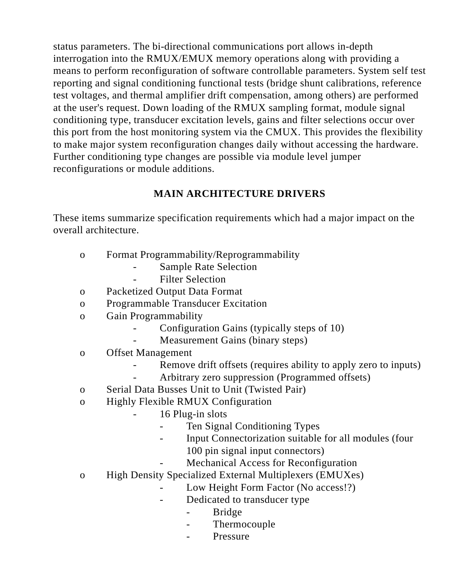status parameters. The bi-directional communications port allows in-depth interrogation into the RMUX/EMUX memory operations along with providing a means to perform reconfiguration of software controllable parameters. System self test reporting and signal conditioning functional tests (bridge shunt calibrations, reference test voltages, and thermal amplifier drift compensation, among others) are performed at the user's request. Down loading of the RMUX sampling format, module signal conditioning type, transducer excitation levels, gains and filter selections occur over this port from the host monitoring system via the CMUX. This provides the flexibility to make major system reconfiguration changes daily without accessing the hardware. Further conditioning type changes are possible via module level jumper reconfigurations or module additions.

## **MAIN ARCHITECTURE DRIVERS**

These items summarize specification requirements which had a major impact on the overall architecture.

- o Format Programmability/Reprogrammability
	- Sample Rate Selection
	- Filter Selection
- o Packetized Output Data Format
- o Programmable Transducer Excitation
- o Gain Programmability
	- Configuration Gains (typically steps of 10)
	- Measurement Gains (binary steps)
- o Offset Management
	- Remove drift offsets (requires ability to apply zero to inputs)
	- Arbitrary zero suppression (Programmed offsets)
- o Serial Data Busses Unit to Unit (Twisted Pair)
- o Highly Flexible RMUX Configuration
	- 16 Plug-in slots
		- Ten Signal Conditioning Types
		- Input Connectorization suitable for all modules (four
			- 100 pin signal input connectors)
			- Mechanical Access for Reconfiguration
- o High Density Specialized External Multiplexers (EMUXes)
	- Low Height Form Factor (No access!?)
	- Dedicated to transducer type
		- Bridge
		- Thermocouple
		- Pressure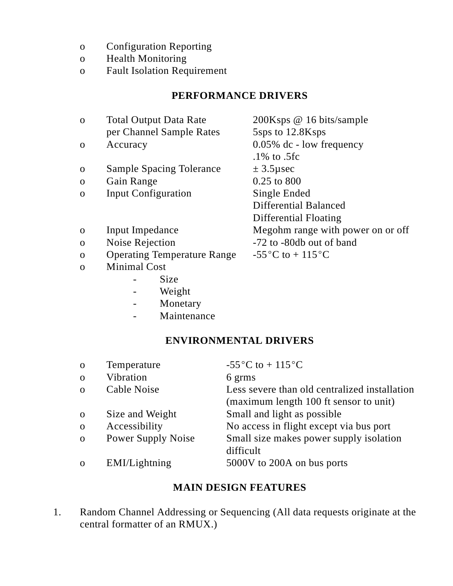- o Configuration Reporting
- o Health Monitoring
- o Fault Isolation Requirement

## **PERFORMANCE DRIVERS**

| $\mathbf{O}$ | <b>Total Output Data Rate</b>      | 200Ksps @ 16 bits/sample          |
|--------------|------------------------------------|-----------------------------------|
|              | per Channel Sample Rates           | 5sps to 12.8Ksps                  |
| $\Omega$     | Accuracy                           | $0.05\%$ dc - low frequency       |
|              |                                    | $.1\%$ to $.5fc$                  |
| O            | <b>Sample Spacing Tolerance</b>    | $\pm$ 3.5 µ sec                   |
| $\Omega$     | Gain Range                         | 0.25 to 800                       |
| $\Omega$     | <b>Input Configuration</b>         | Single Ended                      |
|              |                                    | Differential Balanced             |
|              |                                    | Differential Floating             |
| $\Omega$     | Input Impedance                    | Megohm range with power on or off |
| $\mathbf{O}$ | Noise Rejection                    | -72 to -80db out of band          |
| $\mathbf{O}$ | <b>Operating Temperature Range</b> | $-55^{\circ}$ C to + 115 °C       |
| $\Omega$     | <b>Minimal Cost</b>                |                                   |
|              | Size                               |                                   |
|              | $\bf W L : -1.4$                   |                                   |

- Weight
	- Monetary
	- Maintenance

### **ENVIRONMENTAL DRIVERS**

| $\mathbf{O}$ | Temperature               | -55 $\mathrm{^{\circ}C}$ to + 115 $\mathrm{^{\circ}C}$ |
|--------------|---------------------------|--------------------------------------------------------|
| $\mathbf{o}$ | Vibration                 | 6 grms                                                 |
| $\Omega$     | Cable Noise               | Less severe than old centralized installation          |
|              |                           | (maximum length 100 ft sensor to unit)                 |
| $\mathbf{O}$ | Size and Weight           | Small and light as possible                            |
| $\mathbf{o}$ | Accessibility             | No access in flight except via bus port                |
| $\mathbf{o}$ | <b>Power Supply Noise</b> | Small size makes power supply isolation                |
|              |                           | difficult                                              |
| $\Omega$     | EMI/Lightning             | 5000V to 200A on bus ports                             |

## **MAIN DESIGN FEATURES**

1. Random Channel Addressing or Sequencing (All data requests originate at the central formatter of an RMUX.)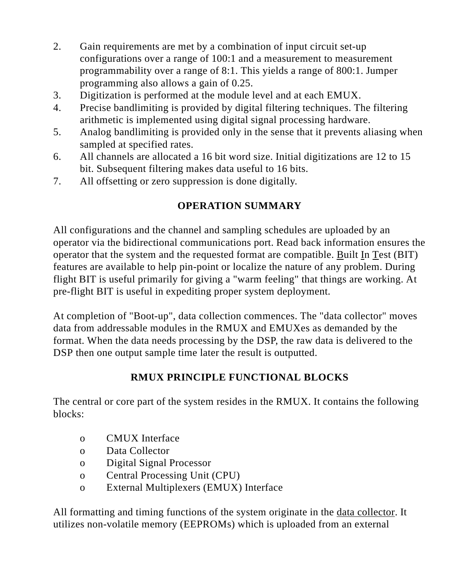- 2. Gain requirements are met by a combination of input circuit set-up configurations over a range of 100:1 and a measurement to measurement programmability over a range of 8:1. This yields a range of 800:1. Jumper programming also allows a gain of 0.25.
- 3. Digitization is performed at the module level and at each EMUX.
- 4. Precise bandlimiting is provided by digital filtering techniques. The filtering arithmetic is implemented using digital signal processing hardware.
- 5. Analog bandlimiting is provided only in the sense that it prevents aliasing when sampled at specified rates.
- 6. All channels are allocated a 16 bit word size. Initial digitizations are 12 to 15 bit. Subsequent filtering makes data useful to 16 bits.
- 7. All offsetting or zero suppression is done digitally.

## **OPERATION SUMMARY**

All configurations and the channel and sampling schedules are uploaded by an operator via the bidirectional communications port. Read back information ensures the operator that the system and the requested format are compatible. Built In Test (BIT) features are available to help pin-point or localize the nature of any problem. During flight BIT is useful primarily for giving a "warm feeling" that things are working. At pre-flight BIT is useful in expediting proper system deployment.

At completion of "Boot-up", data collection commences. The "data collector" moves data from addressable modules in the RMUX and EMUXes as demanded by the format. When the data needs processing by the DSP, the raw data is delivered to the DSP then one output sample time later the result is outputted.

## **RMUX PRINCIPLE FUNCTIONAL BLOCKS**

The central or core part of the system resides in the RMUX. It contains the following blocks:

- o CMUX Interface
- o Data Collector
- o Digital Signal Processor
- o Central Processing Unit (CPU)
- o External Multiplexers (EMUX) Interface

All formatting and timing functions of the system originate in the data collector. It utilizes non-volatile memory (EEPROMs) which is uploaded from an external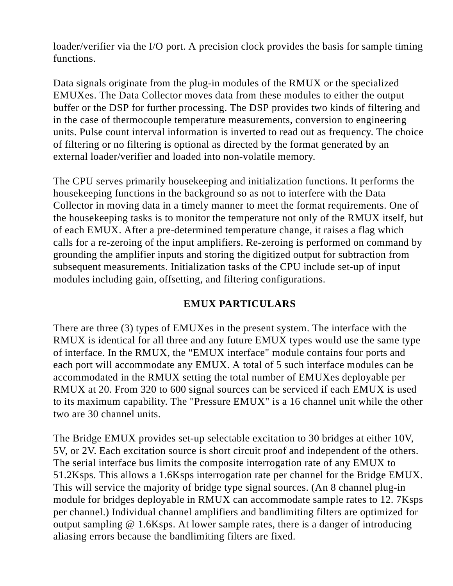loader/verifier via the I/O port. A precision clock provides the basis for sample timing functions.

Data signals originate from the plug-in modules of the RMUX or the specialized EMUXes. The Data Collector moves data from these modules to either the output buffer or the DSP for further processing. The DSP provides two kinds of filtering and in the case of thermocouple temperature measurements, conversion to engineering units. Pulse count interval information is inverted to read out as frequency. The choice of filtering or no filtering is optional as directed by the format generated by an external loader/verifier and loaded into non-volatile memory.

The CPU serves primarily housekeeping and initialization functions. It performs the housekeeping functions in the background so as not to interfere with the Data Collector in moving data in a timely manner to meet the format requirements. One of the housekeeping tasks is to monitor the temperature not only of the RMUX itself, but of each EMUX. After a pre-determined temperature change, it raises a flag which calls for a re-zeroing of the input amplifiers. Re-zeroing is performed on command by grounding the amplifier inputs and storing the digitized output for subtraction from subsequent measurements. Initialization tasks of the CPU include set-up of input modules including gain, offsetting, and filtering configurations.

### **EMUX PARTICULARS**

There are three (3) types of EMUXes in the present system. The interface with the RMUX is identical for all three and any future EMUX types would use the same type of interface. In the RMUX, the "EMUX interface" module contains four ports and each port will accommodate any EMUX. A total of 5 such interface modules can be accommodated in the RMUX setting the total number of EMUXes deployable per RMUX at 20. From 320 to 600 signal sources can be serviced if each EMUX is used to its maximum capability. The "Pressure EMUX" is a 16 channel unit while the other two are 30 channel units.

The Bridge EMUX provides set-up selectable excitation to 30 bridges at either 10V, 5V, or 2V. Each excitation source is short circuit proof and independent of the others. The serial interface bus limits the composite interrogation rate of any EMUX to 51.2Ksps. This allows a 1.6Ksps interrogation rate per channel for the Bridge EMUX. This will service the majority of bridge type signal sources. (An 8 channel plug-in module for bridges deployable in RMUX can accommodate sample rates to 12. 7Ksps per channel.) Individual channel amplifiers and bandlimiting filters are optimized for output sampling @ 1.6Ksps. At lower sample rates, there is a danger of introducing aliasing errors because the bandlimiting filters are fixed.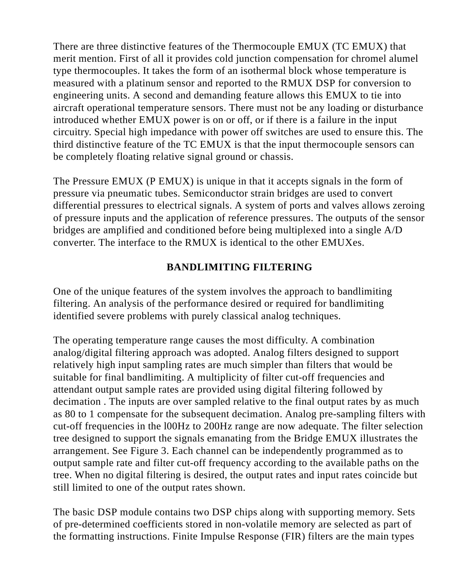There are three distinctive features of the Thermocouple EMUX (TC EMUX) that merit mention. First of all it provides cold junction compensation for chromel alumel type thermocouples. It takes the form of an isothermal block whose temperature is measured with a platinum sensor and reported to the RMUX DSP for conversion to engineering units. A second and demanding feature allows this EMUX to tie into aircraft operational temperature sensors. There must not be any loading or disturbance introduced whether EMUX power is on or off, or if there is a failure in the input circuitry. Special high impedance with power off switches are used to ensure this. The third distinctive feature of the TC EMUX is that the input thermocouple sensors can be completely floating relative signal ground or chassis.

The Pressure EMUX (P EMUX) is unique in that it accepts signals in the form of pressure via pneumatic tubes. Semiconductor strain bridges are used to convert differential pressures to electrical signals. A system of ports and valves allows zeroing of pressure inputs and the application of reference pressures. The outputs of the sensor bridges are amplified and conditioned before being multiplexed into a single A/D converter. The interface to the RMUX is identical to the other EMUXes.

### **BANDLIMITING FILTERING**

One of the unique features of the system involves the approach to bandlimiting filtering. An analysis of the performance desired or required for bandlimiting identified severe problems with purely classical analog techniques.

The operating temperature range causes the most difficulty. A combination analog/digital filtering approach was adopted. Analog filters designed to support relatively high input sampling rates are much simpler than filters that would be suitable for final bandlimiting. A multiplicity of filter cut-off frequencies and attendant output sample rates are provided using digital filtering followed by decimation . The inputs are over sampled relative to the final output rates by as much as 80 to 1 compensate for the subsequent decimation. Analog pre-sampling filters with cut-off frequencies in the l00Hz to 200Hz range are now adequate. The filter selection tree designed to support the signals emanating from the Bridge EMUX illustrates the arrangement. See Figure 3. Each channel can be independently programmed as to output sample rate and filter cut-off frequency according to the available paths on the tree. When no digital filtering is desired, the output rates and input rates coincide but still limited to one of the output rates shown.

The basic DSP module contains two DSP chips along with supporting memory. Sets of pre-determined coefficients stored in non-volatile memory are selected as part of the formatting instructions. Finite Impulse Response (FIR) filters are the main types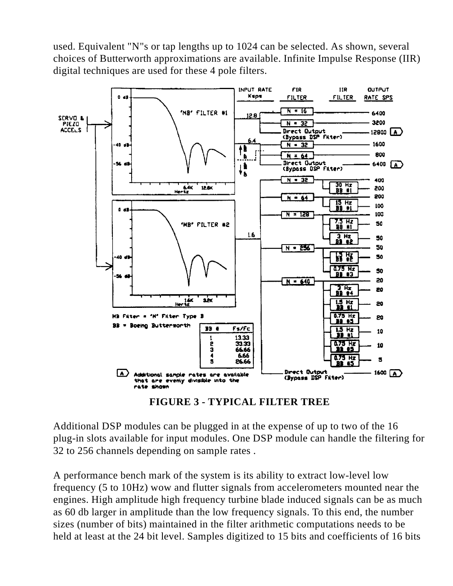used. Equivalent "N"s or tap lengths up to 1024 can be selected. As shown, several choices of Butterworth approximations are available. Infinite Impulse Response (IIR) digital techniques are used for these 4 pole filters.



**FIGURE 3 - TYPICAL FILTER TREE**

Additional DSP modules can be plugged in at the expense of up to two of the 16 plug-in slots available for input modules. One DSP module can handle the filtering for 32 to 256 channels depending on sample rates .

A performance bench mark of the system is its ability to extract low-level low frequency (5 to 10Hz) wow and flutter signals from accelerometers mounted near the engines. High amplitude high frequency turbine blade induced signals can be as much as 60 db larger in amplitude than the low frequency signals. To this end, the number sizes (number of bits) maintained in the filter arithmetic computations needs to be held at least at the 24 bit level. Samples digitized to 15 bits and coefficients of 16 bits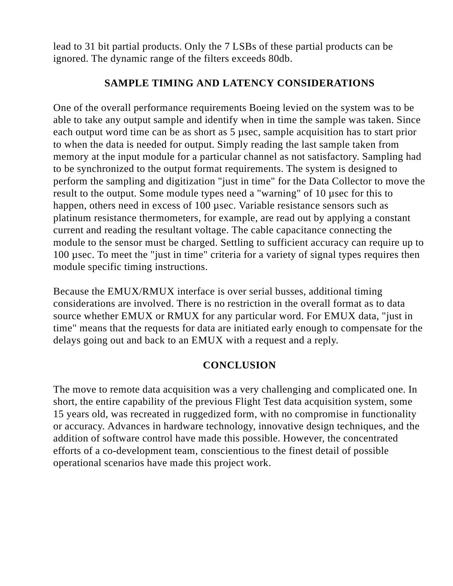lead to 31 bit partial products. Only the 7 LSBs of these partial products can be ignored. The dynamic range of the filters exceeds 80db.

### **SAMPLE TIMING AND LATENCY CONSIDERATIONS**

One of the overall performance requirements Boeing levied on the system was to be able to take any output sample and identify when in time the sample was taken. Since each output word time can be as short as 5 µsec, sample acquisition has to start prior to when the data is needed for output. Simply reading the last sample taken from memory at the input module for a particular channel as not satisfactory. Sampling had to be synchronized to the output format requirements. The system is designed to perform the sampling and digitization "just in time" for the Data Collector to move the result to the output. Some module types need a "warning" of 10 µsec for this to happen, others need in excess of 100 µsec. Variable resistance sensors such as platinum resistance thermometers, for example, are read out by applying a constant current and reading the resultant voltage. The cable capacitance connecting the module to the sensor must be charged. Settling to sufficient accuracy can require up to 100 µsec. To meet the "just in time" criteria for a variety of signal types requires then module specific timing instructions.

Because the EMUX/RMUX interface is over serial busses, additional timing considerations are involved. There is no restriction in the overall format as to data source whether EMUX or RMUX for any particular word. For EMUX data, "just in time" means that the requests for data are initiated early enough to compensate for the delays going out and back to an EMUX with a request and a reply.

### **CONCLUSION**

The move to remote data acquisition was a very challenging and complicated one. In short, the entire capability of the previous Flight Test data acquisition system, some 15 years old, was recreated in ruggedized form, with no compromise in functionality or accuracy. Advances in hardware technology, innovative design techniques, and the addition of software control have made this possible. However, the concentrated efforts of a co-development team, conscientious to the finest detail of possible operational scenarios have made this project work.